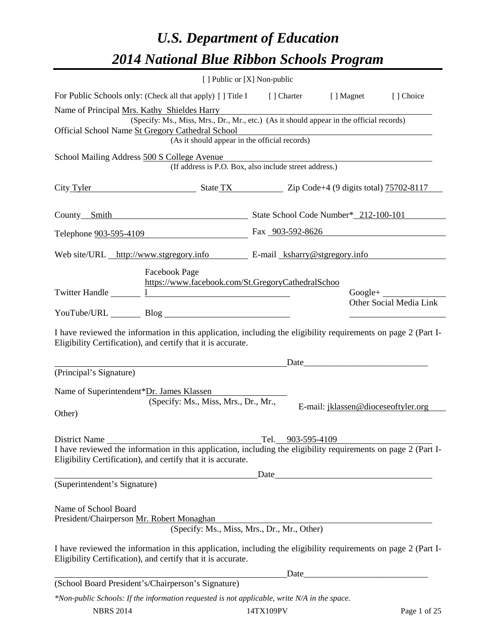# *U.S. Department of Education 2014 National Blue Ribbon Schools Program*

|                                                                                                                                                                                                                                                                    |                                                                                                                                                                                | [ ] Public or [X] Non-public                                                                                           |                                     |                                                    |  |  |  |
|--------------------------------------------------------------------------------------------------------------------------------------------------------------------------------------------------------------------------------------------------------------------|--------------------------------------------------------------------------------------------------------------------------------------------------------------------------------|------------------------------------------------------------------------------------------------------------------------|-------------------------------------|----------------------------------------------------|--|--|--|
|                                                                                                                                                                                                                                                                    | For Public Schools only: (Check all that apply) [] Title I [] Charter [] Magnet [] Choice                                                                                      |                                                                                                                        |                                     |                                                    |  |  |  |
| Name of Principal Mrs. Kathy Shieldes Harry<br>(Specify: Ms., Miss, Mrs., Dr., Mr., etc.) (As it should appear in the official records)<br>Official School Name St Gregory Cathedral School<br>y Cathedral School<br>(As it should appear in the official records) |                                                                                                                                                                                |                                                                                                                        |                                     |                                                    |  |  |  |
|                                                                                                                                                                                                                                                                    | School Mailing Address 500 S College Avenue<br>(If address is P.O. Box, also include street address.)                                                                          | <u> 1989 - Johann Barn, mars ann an t-Aonaich an t-Aonaich an t-Aonaich an t-Aonaich an t-Aonaich ann an t-Aonaich</u> |                                     |                                                    |  |  |  |
|                                                                                                                                                                                                                                                                    | City Tyler State TX State TX Zip Code+4 (9 digits total) 75702-8117                                                                                                            |                                                                                                                        |                                     |                                                    |  |  |  |
|                                                                                                                                                                                                                                                                    | County Smith State School Code Number* 212-100-101                                                                                                                             |                                                                                                                        |                                     |                                                    |  |  |  |
|                                                                                                                                                                                                                                                                    | Telephone <u>903-595-4109</u> Fax 903-592-8626                                                                                                                                 |                                                                                                                        |                                     |                                                    |  |  |  |
|                                                                                                                                                                                                                                                                    | Web site/URL http://www.stgregory.info E-mail ksharry@stgregory.info                                                                                                           |                                                                                                                        |                                     |                                                    |  |  |  |
|                                                                                                                                                                                                                                                                    | Facebook Page<br>https://www.facebook.com/St.GregoryCathedralSchoo<br>Twitter Handle 1 1<br>YouTube/URL Blog Blog                                                              |                                                                                                                        |                                     | $Google +$<br>Other Social Media Link              |  |  |  |
|                                                                                                                                                                                                                                                                    | I have reviewed the information in this application, including the eligibility requirements on page 2 (Part I-<br>Eligibility Certification), and certify that it is accurate. |                                                                                                                        |                                     |                                                    |  |  |  |
| (Principal's Signature)                                                                                                                                                                                                                                            |                                                                                                                                                                                |                                                                                                                        | Date                                |                                                    |  |  |  |
| Other)                                                                                                                                                                                                                                                             | Name of Superintendent*Dr. James Klassen<br>(Specify: Ms., Miss, Mrs., Dr., Mr.,                                                                                               |                                                                                                                        | E-mail: jklassen@dioceseoftyler.org |                                                    |  |  |  |
| District Name                                                                                                                                                                                                                                                      | I have reviewed the information in this application, including the eligibility requirements on page 2 (Part I-<br>Eligibility Certification), and certify that it is accurate. | Tel. 903-595-4109<br>Date                                                                                              |                                     |                                                    |  |  |  |
| (Superintendent's Signature)                                                                                                                                                                                                                                       |                                                                                                                                                                                |                                                                                                                        |                                     |                                                    |  |  |  |
| Name of School Board                                                                                                                                                                                                                                               | President/Chairperson Mr. Robert Monaghan<br>(Specify: Ms., Miss, Mrs., Dr., Mr., Other)                                                                                       |                                                                                                                        |                                     |                                                    |  |  |  |
|                                                                                                                                                                                                                                                                    | I have reviewed the information in this application, including the eligibility requirements on page 2 (Part I-<br>Eligibility Certification), and certify that it is accurate. |                                                                                                                        |                                     |                                                    |  |  |  |
|                                                                                                                                                                                                                                                                    | (School Board President's/Chairperson's Signature)                                                                                                                             | Date                                                                                                                   |                                     | <u> 1989 - Johann Barbara, martxa alemani</u> ar a |  |  |  |
|                                                                                                                                                                                                                                                                    | $*$ Non-public Schools: If the information requested is not applicable, write N/A in the space.                                                                                |                                                                                                                        |                                     |                                                    |  |  |  |

NBRS 2014 14TX109PV Page 1 of 25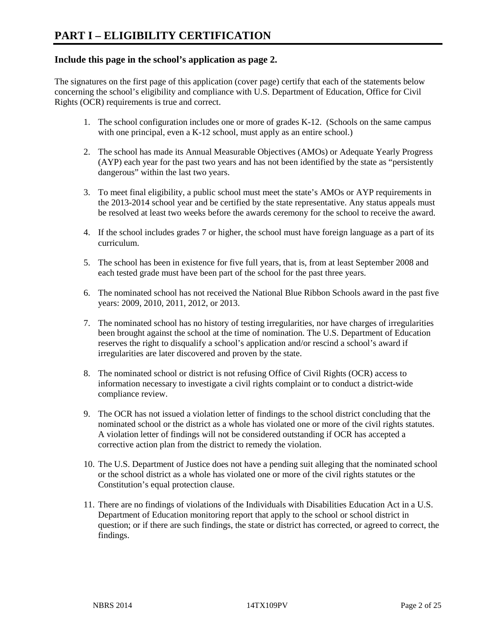# **Include this page in the school's application as page 2.**

The signatures on the first page of this application (cover page) certify that each of the statements below concerning the school's eligibility and compliance with U.S. Department of Education, Office for Civil Rights (OCR) requirements is true and correct.

- 1. The school configuration includes one or more of grades K-12. (Schools on the same campus with one principal, even a K-12 school, must apply as an entire school.)
- 2. The school has made its Annual Measurable Objectives (AMOs) or Adequate Yearly Progress (AYP) each year for the past two years and has not been identified by the state as "persistently dangerous" within the last two years.
- 3. To meet final eligibility, a public school must meet the state's AMOs or AYP requirements in the 2013-2014 school year and be certified by the state representative. Any status appeals must be resolved at least two weeks before the awards ceremony for the school to receive the award.
- 4. If the school includes grades 7 or higher, the school must have foreign language as a part of its curriculum.
- 5. The school has been in existence for five full years, that is, from at least September 2008 and each tested grade must have been part of the school for the past three years.
- 6. The nominated school has not received the National Blue Ribbon Schools award in the past five years: 2009, 2010, 2011, 2012, or 2013.
- 7. The nominated school has no history of testing irregularities, nor have charges of irregularities been brought against the school at the time of nomination. The U.S. Department of Education reserves the right to disqualify a school's application and/or rescind a school's award if irregularities are later discovered and proven by the state.
- 8. The nominated school or district is not refusing Office of Civil Rights (OCR) access to information necessary to investigate a civil rights complaint or to conduct a district-wide compliance review.
- 9. The OCR has not issued a violation letter of findings to the school district concluding that the nominated school or the district as a whole has violated one or more of the civil rights statutes. A violation letter of findings will not be considered outstanding if OCR has accepted a corrective action plan from the district to remedy the violation.
- 10. The U.S. Department of Justice does not have a pending suit alleging that the nominated school or the school district as a whole has violated one or more of the civil rights statutes or the Constitution's equal protection clause.
- 11. There are no findings of violations of the Individuals with Disabilities Education Act in a U.S. Department of Education monitoring report that apply to the school or school district in question; or if there are such findings, the state or district has corrected, or agreed to correct, the findings.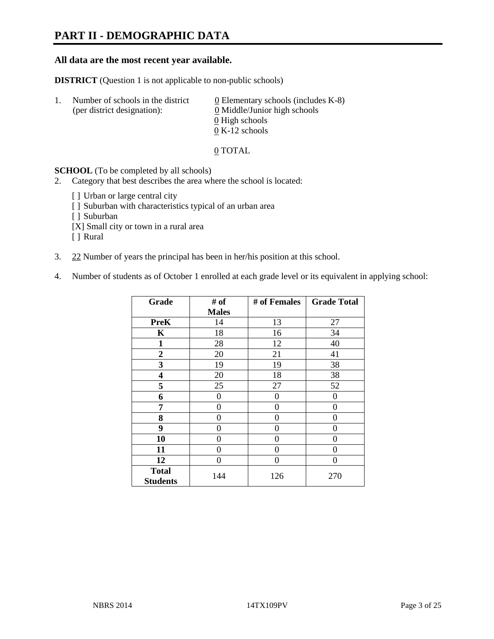# **PART II - DEMOGRAPHIC DATA**

# **All data are the most recent year available.**

**DISTRICT** (Question 1 is not applicable to non-public schools)

| $\mathbf{L}$ | Number of schools in the district<br>(per district designation): | 0 Elementary schools (includes $K-8$ )<br>0 Middle/Junior high schools |
|--------------|------------------------------------------------------------------|------------------------------------------------------------------------|
|              |                                                                  | 0 High schools                                                         |
|              |                                                                  | $0 K-12$ schools                                                       |

#### 0 TOTAL

## **SCHOOL** (To be completed by all schools)

- 2. Category that best describes the area where the school is located:
	- [] Urban or large central city
	- [ ] Suburban with characteristics typical of an urban area
	- [ ] Suburban
	- [X] Small city or town in a rural area
	- [ ] Rural
- 3. 22 Number of years the principal has been in her/his position at this school.
- 4. Number of students as of October 1 enrolled at each grade level or its equivalent in applying school:

| Grade                           | # of           | # of Females | <b>Grade Total</b> |
|---------------------------------|----------------|--------------|--------------------|
|                                 | <b>Males</b>   |              |                    |
| <b>PreK</b>                     | 14             | 13           | 27                 |
| K                               | 18             | 16           | 34                 |
| $\mathbf{1}$                    | 28             | 12           | 40                 |
| $\boldsymbol{2}$                | 20             | 21           | 41                 |
| 3                               | 19             | 19           | 38                 |
| 4                               | 20             | 18           | 38                 |
| 5                               | 25             | 27           | 52                 |
| 6                               | $\theta$       | 0            | $\theta$           |
| 7                               | 0              | $\Omega$     | 0                  |
| 8                               | 0              | 0            | 0                  |
| 9                               | $\overline{0}$ | 0            | 0                  |
| 10                              | 0              | 0            | 0                  |
| 11                              | 0              | 0            | 0                  |
| 12                              | $\theta$       | 0            | 0                  |
| <b>Total</b><br><b>Students</b> | 144            | 126          | 270                |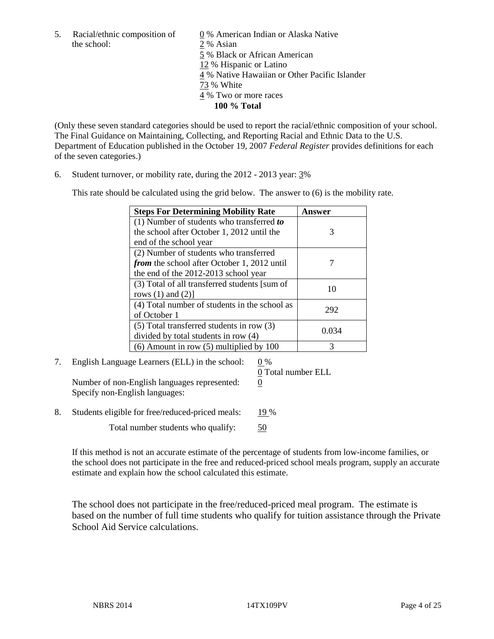the school: 2 % Asian

5. Racial/ethnic composition of 0 % American Indian or Alaska Native 5 % Black or African American 12 % Hispanic or Latino 4 % Native Hawaiian or Other Pacific Islander 73 % White 4 % Two or more races **100 % Total** 

(Only these seven standard categories should be used to report the racial/ethnic composition of your school. The Final Guidance on Maintaining, Collecting, and Reporting Racial and Ethnic Data to the U.S. Department of Education published in the October 19, 2007 *Federal Register* provides definitions for each of the seven categories.)

6. Student turnover, or mobility rate, during the 2012 - 2013 year: 3%

This rate should be calculated using the grid below. The answer to (6) is the mobility rate.

| <b>Steps For Determining Mobility Rate</b>         | Answer |
|----------------------------------------------------|--------|
| (1) Number of students who transferred to          |        |
| the school after October 1, 2012 until the         | 3      |
| end of the school year                             |        |
| (2) Number of students who transferred             |        |
| <i>from</i> the school after October 1, 2012 until |        |
| the end of the 2012-2013 school year               |        |
| (3) Total of all transferred students [sum of      | 10     |
| rows $(1)$ and $(2)$ ]                             |        |
| (4) Total number of students in the school as      | 292    |
| of October 1                                       |        |
| $(5)$ Total transferred students in row $(3)$      | 0.034  |
| divided by total students in row (4)               |        |
| $(6)$ Amount in row $(5)$ multiplied by 100        |        |

7. English Language Learners (ELL) in the school: 0 %

Number of non-English languages represented: 0 Specify non-English languages:

0 Total number ELL

8. Students eligible for free/reduced-priced meals: 19 %

Total number students who qualify:  $\frac{50}{20}$ 

If this method is not an accurate estimate of the percentage of students from low-income families, or the school does not participate in the free and reduced-priced school meals program, supply an accurate estimate and explain how the school calculated this estimate.

The school does not participate in the free/reduced-priced meal program. The estimate is based on the number of full time students who qualify for tuition assistance through the Private School Aid Service calculations.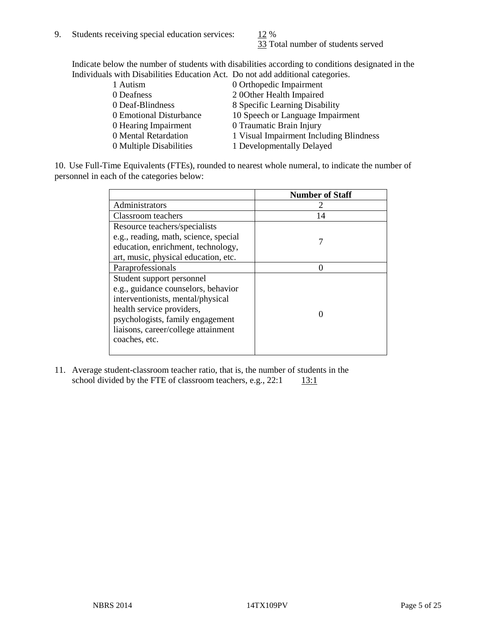33 Total number of students served

Indicate below the number of students with disabilities according to conditions designated in the Individuals with Disabilities Education Act. Do not add additional categories.

| 1 Autism                | 0 Orthopedic Impairment                 |
|-------------------------|-----------------------------------------|
| 0 Deafness              | 2 00ther Health Impaired                |
| 0 Deaf-Blindness        | 8 Specific Learning Disability          |
| 0 Emotional Disturbance | 10 Speech or Language Impairment        |
| 0 Hearing Impairment    | 0 Traumatic Brain Injury                |
| 0 Mental Retardation    | 1 Visual Impairment Including Blindness |
| 0 Multiple Disabilities | 1 Developmentally Delayed               |
|                         |                                         |

10. Use Full-Time Equivalents (FTEs), rounded to nearest whole numeral, to indicate the number of personnel in each of the categories below:

|                                       | <b>Number of Staff</b> |
|---------------------------------------|------------------------|
| Administrators                        |                        |
| Classroom teachers                    | 14                     |
| Resource teachers/specialists         |                        |
| e.g., reading, math, science, special |                        |
| education, enrichment, technology,    |                        |
| art, music, physical education, etc.  |                        |
| Paraprofessionals                     |                        |
| Student support personnel             |                        |
| e.g., guidance counselors, behavior   |                        |
| interventionists, mental/physical     |                        |
| health service providers,             |                        |
| psychologists, family engagement      |                        |
| liaisons, career/college attainment   |                        |
| coaches, etc.                         |                        |
|                                       |                        |

11. Average student-classroom teacher ratio, that is, the number of students in the school divided by the FTE of classroom teachers, e.g.,  $22:1$  13:1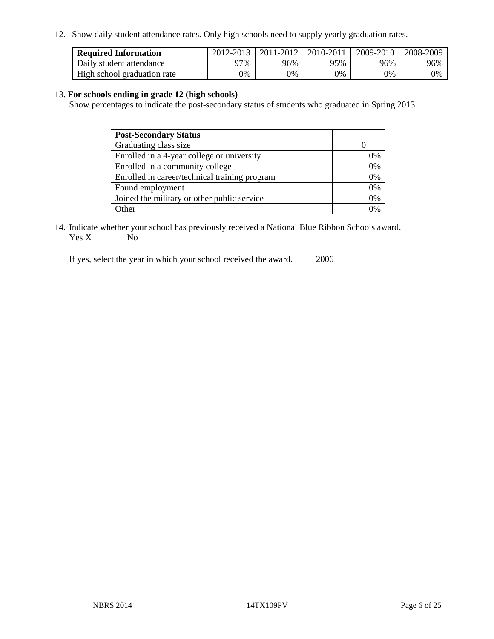12. Show daily student attendance rates. Only high schools need to supply yearly graduation rates.

| <b>Required Information</b> | 2012-2013 | 2011-2012 | 2010-2011 | 2009-2010 | 2008-2009 |
|-----------------------------|-----------|-----------|-----------|-----------|-----------|
| Daily student attendance    | 77%       | 96%       | 95%       | 96%       | 96%       |
| High school graduation rate | 0%        | 9%        | 0%        | 0%        | 0%        |

# 13. **For schools ending in grade 12 (high schools)**

Show percentages to indicate the post-secondary status of students who graduated in Spring 2013

| <b>Post-Secondary Status</b>                  |    |
|-----------------------------------------------|----|
| Graduating class size                         |    |
| Enrolled in a 4-year college or university    | 0% |
| Enrolled in a community college               | 0% |
| Enrolled in career/technical training program | 0% |
| Found employment                              | 0% |
| Joined the military or other public service   | 0% |
| . Other                                       | 0/ |

14. Indicate whether your school has previously received a National Blue Ribbon Schools award.  $Yes \underline{X}$  No

If yes, select the year in which your school received the award. 2006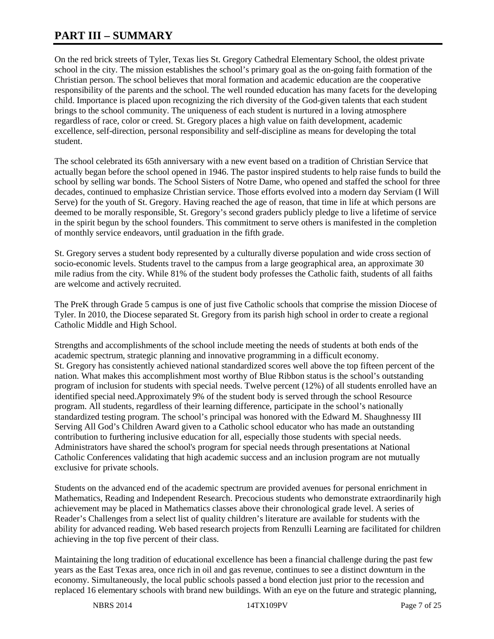# **PART III – SUMMARY**

On the red brick streets of Tyler, Texas lies St. Gregory Cathedral Elementary School, the oldest private school in the city. The mission establishes the school's primary goal as the on-going faith formation of the Christian person. The school believes that moral formation and academic education are the cooperative responsibility of the parents and the school. The well rounded education has many facets for the developing child. Importance is placed upon recognizing the rich diversity of the God-given talents that each student brings to the school community. The uniqueness of each student is nurtured in a loving atmosphere regardless of race, color or creed. St. Gregory places a high value on faith development, academic excellence, self-direction, personal responsibility and self-discipline as means for developing the total student.

The school celebrated its 65th anniversary with a new event based on a tradition of Christian Service that actually began before the school opened in 1946. The pastor inspired students to help raise funds to build the school by selling war bonds. The School Sisters of Notre Dame, who opened and staffed the school for three decades, continued to emphasize Christian service. Those efforts evolved into a modern day Serviam (I Will Serve) for the youth of St. Gregory. Having reached the age of reason, that time in life at which persons are deemed to be morally responsible, St. Gregory's second graders publicly pledge to live a lifetime of service in the spirit begun by the school founders. This commitment to serve others is manifested in the completion of monthly service endeavors, until graduation in the fifth grade.

St. Gregory serves a student body represented by a culturally diverse population and wide cross section of socio-economic levels. Students travel to the campus from a large geographical area, an approximate 30 mile radius from the city. While 81% of the student body professes the Catholic faith, students of all faiths are welcome and actively recruited.

The PreK through Grade 5 campus is one of just five Catholic schools that comprise the mission Diocese of Tyler. In 2010, the Diocese separated St. Gregory from its parish high school in order to create a regional Catholic Middle and High School.

Strengths and accomplishments of the school include meeting the needs of students at both ends of the academic spectrum, strategic planning and innovative programming in a difficult economy. St. Gregory has consistently achieved national standardized scores well above the top fifteen percent of the nation. What makes this accomplishment most worthy of Blue Ribbon status is the school's outstanding program of inclusion for students with special needs. Twelve percent (12%) of all students enrolled have an identified special need.Approximately 9% of the student body is served through the school Resource program. All students, regardless of their learning difference, participate in the school's nationally standardized testing program. The school's principal was honored with the Edward M. Shaughnessy III Serving All God's Children Award given to a Catholic school educator who has made an outstanding contribution to furthering inclusive education for all, especially those students with special needs. Administrators have shared the school's program for special needs through presentations at National Catholic Conferences validating that high academic success and an inclusion program are not mutually exclusive for private schools.

Students on the advanced end of the academic spectrum are provided avenues for personal enrichment in Mathematics, Reading and Independent Research. Precocious students who demonstrate extraordinarily high achievement may be placed in Mathematics classes above their chronological grade level. A series of Reader's Challenges from a select list of quality children's literature are available for students with the ability for advanced reading. Web based research projects from Renzulli Learning are facilitated for children achieving in the top five percent of their class.

Maintaining the long tradition of educational excellence has been a financial challenge during the past few years as the East Texas area, once rich in oil and gas revenue, continues to see a distinct downturn in the economy. Simultaneously, the local public schools passed a bond election just prior to the recession and replaced 16 elementary schools with brand new buildings. With an eye on the future and strategic planning,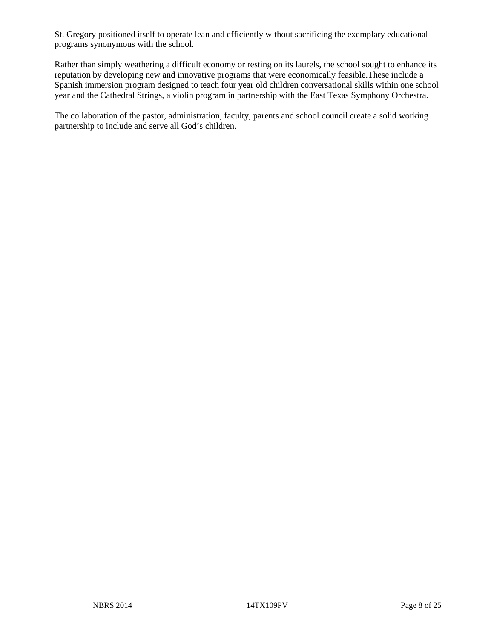St. Gregory positioned itself to operate lean and efficiently without sacrificing the exemplary educational programs synonymous with the school.

Rather than simply weathering a difficult economy or resting on its laurels, the school sought to enhance its reputation by developing new and innovative programs that were economically feasible.These include a Spanish immersion program designed to teach four year old children conversational skills within one school year and the Cathedral Strings, a violin program in partnership with the East Texas Symphony Orchestra.

The collaboration of the pastor, administration, faculty, parents and school council create a solid working partnership to include and serve all God's children.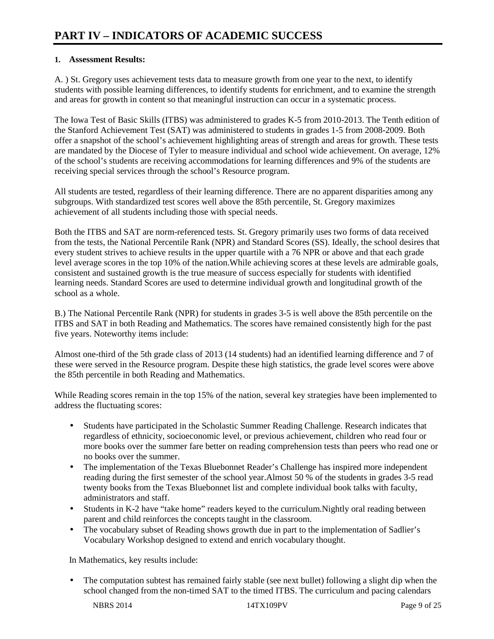# **1. Assessment Results:**

A. ) St. Gregory uses achievement tests data to measure growth from one year to the next, to identify students with possible learning differences, to identify students for enrichment, and to examine the strength and areas for growth in content so that meaningful instruction can occur in a systematic process.

The Iowa Test of Basic Skills (ITBS) was administered to grades K-5 from 2010-2013. The Tenth edition of the Stanford Achievement Test (SAT) was administered to students in grades 1-5 from 2008-2009. Both offer a snapshot of the school's achievement highlighting areas of strength and areas for growth. These tests are mandated by the Diocese of Tyler to measure individual and school wide achievement. On average, 12% of the school's students are receiving accommodations for learning differences and 9% of the students are receiving special services through the school's Resource program.

All students are tested, regardless of their learning difference. There are no apparent disparities among any subgroups. With standardized test scores well above the 85th percentile, St. Gregory maximizes achievement of all students including those with special needs.

Both the ITBS and SAT are norm-referenced tests. St. Gregory primarily uses two forms of data received from the tests, the National Percentile Rank (NPR) and Standard Scores (SS). Ideally, the school desires that every student strives to achieve results in the upper quartile with a 76 NPR or above and that each grade level average scores in the top 10% of the nation.While achieving scores at these levels are admirable goals, consistent and sustained growth is the true measure of success especially for students with identified learning needs. Standard Scores are used to determine individual growth and longitudinal growth of the school as a whole.

B.) The National Percentile Rank (NPR) for students in grades 3-5 is well above the 85th percentile on the ITBS and SAT in both Reading and Mathematics. The scores have remained consistently high for the past five years. Noteworthy items include:

Almost one-third of the 5th grade class of 2013 (14 students) had an identified learning difference and 7 of these were served in the Resource program. Despite these high statistics, the grade level scores were above the 85th percentile in both Reading and Mathematics.

While Reading scores remain in the top 15% of the nation, several key strategies have been implemented to address the fluctuating scores:

- Students have participated in the Scholastic Summer Reading Challenge. Research indicates that regardless of ethnicity, socioeconomic level, or previous achievement, children who read four or more books over the summer fare better on reading comprehension tests than peers who read one or no books over the summer.
- The implementation of the Texas Bluebonnet Reader's Challenge has inspired more independent reading during the first semester of the school year.Almost 50 % of the students in grades 3-5 read twenty books from the Texas Bluebonnet list and complete individual book talks with faculty, administrators and staff.
- Students in K-2 have "take home" readers keyed to the curriculum. Nightly oral reading between parent and child reinforces the concepts taught in the classroom.
- The vocabulary subset of Reading shows growth due in part to the implementation of Sadlier's Vocabulary Workshop designed to extend and enrich vocabulary thought.

In Mathematics, key results include:

• The computation subtest has remained fairly stable (see next bullet) following a slight dip when the school changed from the non-timed SAT to the timed ITBS. The curriculum and pacing calendars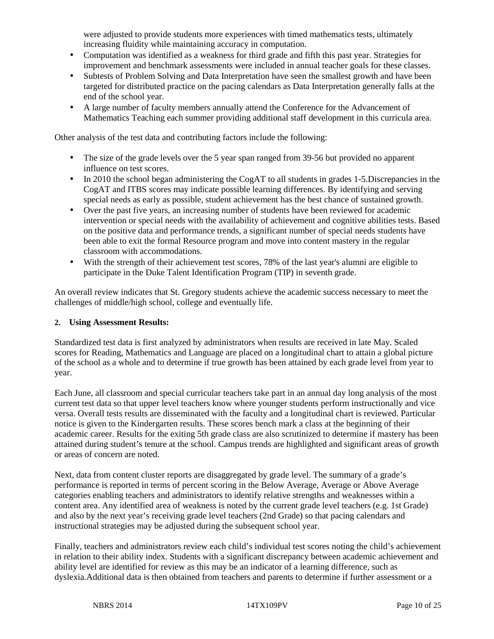were adjusted to provide students more experiences with timed mathematics tests, ultimately increasing fluidity while maintaining accuracy in computation.

- Computation was identified as a weakness for third grade and fifth this past year. Strategies for improvement and benchmark assessments were included in annual teacher goals for these classes.
- Subtests of Problem Solving and Data Interpretation have seen the smallest growth and have been targeted for distributed practice on the pacing calendars as Data Interpretation generally falls at the end of the school year.
- A large number of faculty members annually attend the Conference for the Advancement of Mathematics Teaching each summer providing additional staff development in this curricula area.

Other analysis of the test data and contributing factors include the following:

- The size of the grade levels over the 5 year span ranged from 39-56 but provided no apparent influence on test scores.
- In 2010 the school began administering the CogAT to all students in grades 1-5. Discrepancies in the CogAT and ITBS scores may indicate possible learning differences. By identifying and serving special needs as early as possible, student achievement has the best chance of sustained growth.
- Over the past five years, an increasing number of students have been reviewed for academic intervention or special needs with the availability of achievement and cognitive abilities tests. Based on the positive data and performance trends, a significant number of special needs students have been able to exit the formal Resource program and move into content mastery in the regular classroom with accommodations.
- With the strength of their achievement test scores, 78% of the last year's alumni are eligible to participate in the Duke Talent Identification Program (TIP) in seventh grade.

An overall review indicates that St. Gregory students achieve the academic success necessary to meet the challenges of middle/high school, college and eventually life.

## **2. Using Assessment Results:**

Standardized test data is first analyzed by administrators when results are received in late May. Scaled scores for Reading, Mathematics and Language are placed on a longitudinal chart to attain a global picture of the school as a whole and to determine if true growth has been attained by each grade level from year to year.

Each June, all classroom and special curricular teachers take part in an annual day long analysis of the most current test data so that upper level teachers know where younger students perform instructionally and vice versa. Overall tests results are disseminated with the faculty and a longitudinal chart is reviewed. Particular notice is given to the Kindergarten results. These scores bench mark a class at the beginning of their academic career. Results for the exiting 5th grade class are also scrutinized to determine if mastery has been attained during student's tenure at the school. Campus trends are highlighted and significant areas of growth or areas of concern are noted.

Next, data from content cluster reports are disaggregated by grade level. The summary of a grade's performance is reported in terms of percent scoring in the Below Average, Average or Above Average categories enabling teachers and administrators to identify relative strengths and weaknesses within a content area. Any identified area of weakness is noted by the current grade level teachers (e.g. 1st Grade) and also by the next year's receiving grade level teachers (2nd Grade) so that pacing calendars and instructional strategies may be adjusted during the subsequent school year.

Finally, teachers and administrators review each child's individual test scores noting the child's achievement in relation to their ability index. Students with a significant discrepancy between academic achievement and ability level are identified for review as this may be an indicator of a learning difference, such as dyslexia.Additional data is then obtained from teachers and parents to determine if further assessment or a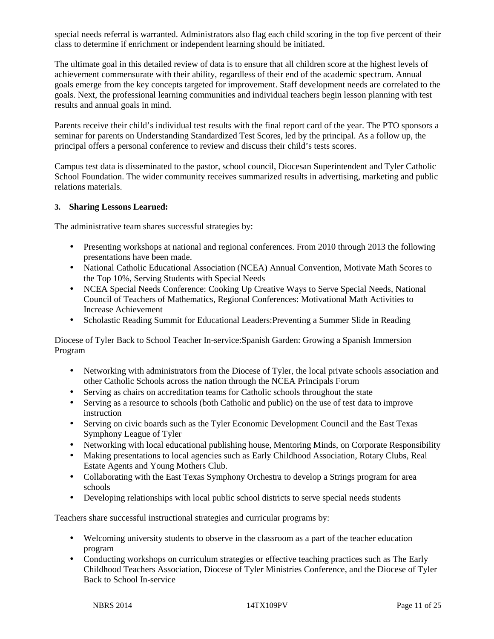special needs referral is warranted. Administrators also flag each child scoring in the top five percent of their class to determine if enrichment or independent learning should be initiated.

The ultimate goal in this detailed review of data is to ensure that all children score at the highest levels of achievement commensurate with their ability, regardless of their end of the academic spectrum. Annual goals emerge from the key concepts targeted for improvement. Staff development needs are correlated to the goals. Next, the professional learning communities and individual teachers begin lesson planning with test results and annual goals in mind.

Parents receive their child's individual test results with the final report card of the year. The PTO sponsors a seminar for parents on Understanding Standardized Test Scores, led by the principal. As a follow up, the principal offers a personal conference to review and discuss their child's tests scores.

Campus test data is disseminated to the pastor, school council, Diocesan Superintendent and Tyler Catholic School Foundation. The wider community receives summarized results in advertising, marketing and public relations materials.

# **3. Sharing Lessons Learned:**

The administrative team shares successful strategies by:

- Presenting workshops at national and regional conferences. From 2010 through 2013 the following presentations have been made.
- National Catholic Educational Association (NCEA) Annual Convention, Motivate Math Scores to the Top 10%, Serving Students with Special Needs
- NCEA Special Needs Conference: Cooking Up Creative Ways to Serve Special Needs, National Council of Teachers of Mathematics, Regional Conferences: Motivational Math Activities to Increase Achievement
- Scholastic Reading Summit for Educational Leaders:Preventing a Summer Slide in Reading

Diocese of Tyler Back to School Teacher In-service:Spanish Garden: Growing a Spanish Immersion Program

- Networking with administrators from the Diocese of Tyler, the local private schools association and other Catholic Schools across the nation through the NCEA Principals Forum
- Serving as chairs on accreditation teams for Catholic schools throughout the state
- Serving as a resource to schools (both Catholic and public) on the use of test data to improve instruction
- Serving on civic boards such as the Tyler Economic Development Council and the East Texas Symphony League of Tyler
- Networking with local educational publishing house, Mentoring Minds, on Corporate Responsibility
- Making presentations to local agencies such as Early Childhood Association, Rotary Clubs, Real Estate Agents and Young Mothers Club.
- Collaborating with the East Texas Symphony Orchestra to develop a Strings program for area schools
- Developing relationships with local public school districts to serve special needs students

Teachers share successful instructional strategies and curricular programs by:

- Welcoming university students to observe in the classroom as a part of the teacher education program
- Conducting workshops on curriculum strategies or effective teaching practices such as The Early Childhood Teachers Association, Diocese of Tyler Ministries Conference, and the Diocese of Tyler Back to School In-service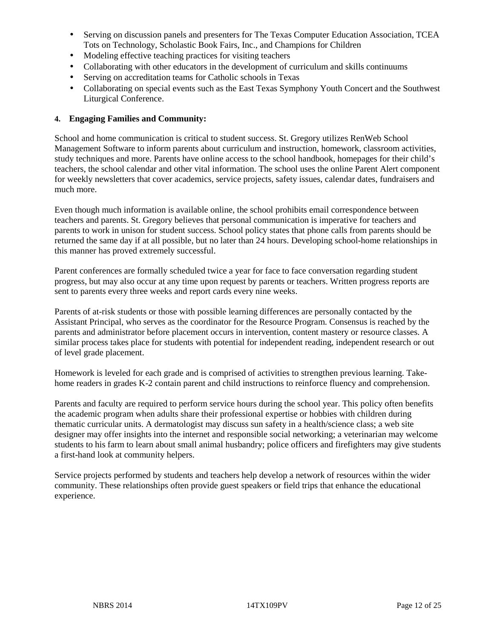- Serving on discussion panels and presenters for The Texas Computer Education Association, TCEA Tots on Technology, Scholastic Book Fairs, Inc., and Champions for Children
- Modeling effective teaching practices for visiting teachers
- Collaborating with other educators in the development of curriculum and skills continuums
- Serving on accreditation teams for Catholic schools in Texas
- Collaborating on special events such as the East Texas Symphony Youth Concert and the Southwest Liturgical Conference.

# **4. Engaging Families and Community:**

School and home communication is critical to student success. St. Gregory utilizes RenWeb School Management Software to inform parents about curriculum and instruction, homework, classroom activities, study techniques and more. Parents have online access to the school handbook, homepages for their child's teachers, the school calendar and other vital information. The school uses the online Parent Alert component for weekly newsletters that cover academics, service projects, safety issues, calendar dates, fundraisers and much more.

Even though much information is available online, the school prohibits email correspondence between teachers and parents. St. Gregory believes that personal communication is imperative for teachers and parents to work in unison for student success. School policy states that phone calls from parents should be returned the same day if at all possible, but no later than 24 hours. Developing school-home relationships in this manner has proved extremely successful.

Parent conferences are formally scheduled twice a year for face to face conversation regarding student progress, but may also occur at any time upon request by parents or teachers. Written progress reports are sent to parents every three weeks and report cards every nine weeks.

Parents of at-risk students or those with possible learning differences are personally contacted by the Assistant Principal, who serves as the coordinator for the Resource Program. Consensus is reached by the parents and administrator before placement occurs in intervention, content mastery or resource classes. A similar process takes place for students with potential for independent reading, independent research or out of level grade placement.

Homework is leveled for each grade and is comprised of activities to strengthen previous learning. Takehome readers in grades K-2 contain parent and child instructions to reinforce fluency and comprehension.

Parents and faculty are required to perform service hours during the school year. This policy often benefits the academic program when adults share their professional expertise or hobbies with children during thematic curricular units. A dermatologist may discuss sun safety in a health/science class; a web site designer may offer insights into the internet and responsible social networking; a veterinarian may welcome students to his farm to learn about small animal husbandry; police officers and firefighters may give students a first-hand look at community helpers.

Service projects performed by students and teachers help develop a network of resources within the wider community. These relationships often provide guest speakers or field trips that enhance the educational experience.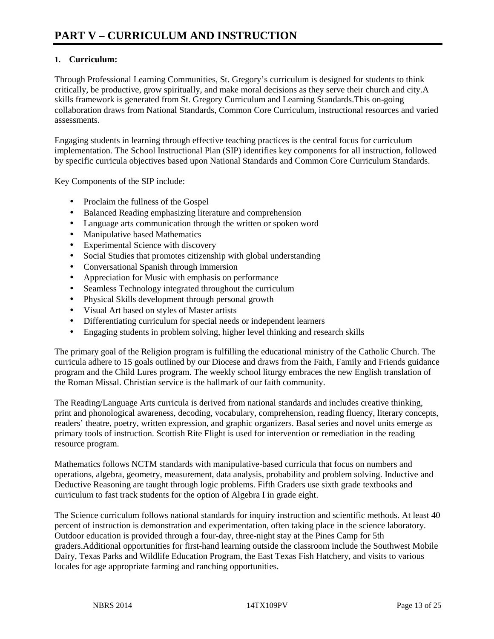# **1. Curriculum:**

Through Professional Learning Communities, St. Gregory's curriculum is designed for students to think critically, be productive, grow spiritually, and make moral decisions as they serve their church and city.A skills framework is generated from St. Gregory Curriculum and Learning Standards.This on-going collaboration draws from National Standards, Common Core Curriculum, instructional resources and varied assessments.

Engaging students in learning through effective teaching practices is the central focus for curriculum implementation. The School Instructional Plan (SIP) identifies key components for all instruction, followed by specific curricula objectives based upon National Standards and Common Core Curriculum Standards.

Key Components of the SIP include:

- Proclaim the fullness of the Gospel
- Balanced Reading emphasizing literature and comprehension
- Language arts communication through the written or spoken word
- Manipulative based Mathematics
- Experimental Science with discovery
- Social Studies that promotes citizenship with global understanding
- Conversational Spanish through immersion
- Appreciation for Music with emphasis on performance
- Seamless Technology integrated throughout the curriculum
- Physical Skills development through personal growth
- Visual Art based on styles of Master artists
- Differentiating curriculum for special needs or independent learners
- Engaging students in problem solving, higher level thinking and research skills

The primary goal of the Religion program is fulfilling the educational ministry of the Catholic Church. The curricula adhere to 15 goals outlined by our Diocese and draws from the Faith, Family and Friends guidance program and the Child Lures program. The weekly school liturgy embraces the new English translation of the Roman Missal. Christian service is the hallmark of our faith community.

The Reading/Language Arts curricula is derived from national standards and includes creative thinking, print and phonological awareness, decoding, vocabulary, comprehension, reading fluency, literary concepts, readers' theatre, poetry, written expression, and graphic organizers. Basal series and novel units emerge as primary tools of instruction. Scottish Rite Flight is used for intervention or remediation in the reading resource program.

Mathematics follows NCTM standards with manipulative-based curricula that focus on numbers and operations, algebra, geometry, measurement, data analysis, probability and problem solving. Inductive and Deductive Reasoning are taught through logic problems. Fifth Graders use sixth grade textbooks and curriculum to fast track students for the option of Algebra I in grade eight.

The Science curriculum follows national standards for inquiry instruction and scientific methods. At least 40 percent of instruction is demonstration and experimentation, often taking place in the science laboratory. Outdoor education is provided through a four-day, three-night stay at the Pines Camp for 5th graders.Additional opportunities for first-hand learning outside the classroom include the Southwest Mobile Dairy, Texas Parks and Wildlife Education Program, the East Texas Fish Hatchery, and visits to various locales for age appropriate farming and ranching opportunities.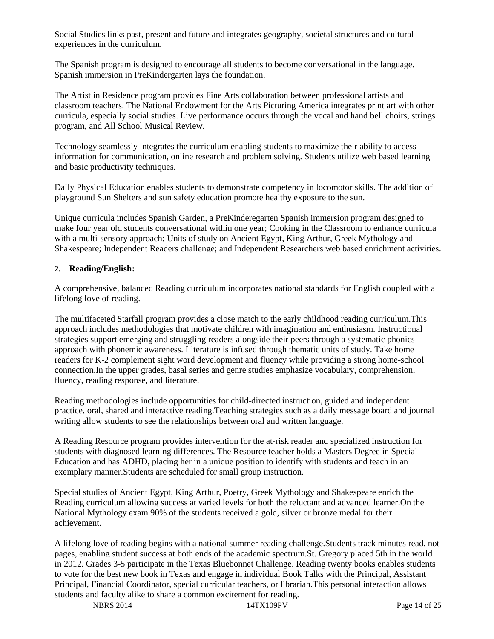Social Studies links past, present and future and integrates geography, societal structures and cultural experiences in the curriculum.

The Spanish program is designed to encourage all students to become conversational in the language. Spanish immersion in PreKindergarten lays the foundation.

The Artist in Residence program provides Fine Arts collaboration between professional artists and classroom teachers. The National Endowment for the Arts Picturing America integrates print art with other curricula, especially social studies. Live performance occurs through the vocal and hand bell choirs, strings program, and All School Musical Review.

Technology seamlessly integrates the curriculum enabling students to maximize their ability to access information for communication, online research and problem solving. Students utilize web based learning and basic productivity techniques.

Daily Physical Education enables students to demonstrate competency in locomotor skills. The addition of playground Sun Shelters and sun safety education promote healthy exposure to the sun.

Unique curricula includes Spanish Garden, a PreKinderegarten Spanish immersion program designed to make four year old students conversational within one year; Cooking in the Classroom to enhance curricula with a multi-sensory approach; Units of study on Ancient Egypt, King Arthur, Greek Mythology and Shakespeare; Independent Readers challenge; and Independent Researchers web based enrichment activities.

# **2. Reading/English:**

A comprehensive, balanced Reading curriculum incorporates national standards for English coupled with a lifelong love of reading.

The multifaceted Starfall program provides a close match to the early childhood reading curriculum.This approach includes methodologies that motivate children with imagination and enthusiasm. Instructional strategies support emerging and struggling readers alongside their peers through a systematic phonics approach with phonemic awareness. Literature is infused through thematic units of study. Take home readers for K-2 complement sight word development and fluency while providing a strong home-school connection.In the upper grades, basal series and genre studies emphasize vocabulary, comprehension, fluency, reading response, and literature.

Reading methodologies include opportunities for child-directed instruction, guided and independent practice, oral, shared and interactive reading.Teaching strategies such as a daily message board and journal writing allow students to see the relationships between oral and written language.

A Reading Resource program provides intervention for the at-risk reader and specialized instruction for students with diagnosed learning differences. The Resource teacher holds a Masters Degree in Special Education and has ADHD, placing her in a unique position to identify with students and teach in an exemplary manner.Students are scheduled for small group instruction.

Special studies of Ancient Egypt, King Arthur, Poetry, Greek Mythology and Shakespeare enrich the Reading curriculum allowing success at varied levels for both the reluctant and advanced learner.On the National Mythology exam 90% of the students received a gold, silver or bronze medal for their achievement.

A lifelong love of reading begins with a national summer reading challenge.Students track minutes read, not pages, enabling student success at both ends of the academic spectrum.St. Gregory placed 5th in the world in 2012. Grades 3-5 participate in the Texas Bluebonnet Challenge. Reading twenty books enables students to vote for the best new book in Texas and engage in individual Book Talks with the Principal, Assistant Principal, Financial Coordinator, special curricular teachers, or librarian.This personal interaction allows students and faculty alike to share a common excitement for reading.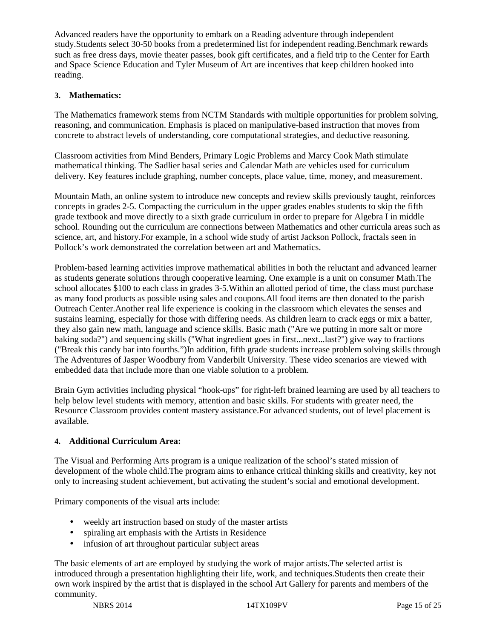Advanced readers have the opportunity to embark on a Reading adventure through independent study.Students select 30-50 books from a predetermined list for independent reading.Benchmark rewards such as free dress days, movie theater passes, book gift certificates, and a field trip to the Center for Earth and Space Science Education and Tyler Museum of Art are incentives that keep children hooked into reading.

# **3. Mathematics:**

The Mathematics framework stems from NCTM Standards with multiple opportunities for problem solving, reasoning, and communication. Emphasis is placed on manipulative-based instruction that moves from concrete to abstract levels of understanding, core computational strategies, and deductive reasoning.

Classroom activities from Mind Benders, Primary Logic Problems and Marcy Cook Math stimulate mathematical thinking. The Sadlier basal series and Calendar Math are vehicles used for curriculum delivery. Key features include graphing, number concepts, place value, time, money, and measurement.

Mountain Math, an online system to introduce new concepts and review skills previously taught, reinforces concepts in grades 2-5. Compacting the curriculum in the upper grades enables students to skip the fifth grade textbook and move directly to a sixth grade curriculum in order to prepare for Algebra I in middle school. Rounding out the curriculum are connections between Mathematics and other curricula areas such as science, art, and history.For example, in a school wide study of artist Jackson Pollock, fractals seen in Pollock's work demonstrated the correlation between art and Mathematics.

Problem-based learning activities improve mathematical abilities in both the reluctant and advanced learner as students generate solutions through cooperative learning. One example is a unit on consumer Math.The school allocates \$100 to each class in grades 3-5.Within an allotted period of time, the class must purchase as many food products as possible using sales and coupons.All food items are then donated to the parish Outreach Center.Another real life experience is cooking in the classroom which elevates the senses and sustains learning, especially for those with differing needs. As children learn to crack eggs or mix a batter, they also gain new math, language and science skills. Basic math ("Are we putting in more salt or more baking soda?") and sequencing skills ("What ingredient goes in first...next...last?") give way to fractions ("Break this candy bar into fourths.")In addition, fifth grade students increase problem solving skills through The Adventures of Jasper Woodbury from Vanderbilt University. These video scenarios are viewed with embedded data that include more than one viable solution to a problem.

Brain Gym activities including physical "hook-ups" for right-left brained learning are used by all teachers to help below level students with memory, attention and basic skills. For students with greater need, the Resource Classroom provides content mastery assistance.For advanced students, out of level placement is available.

# **4. Additional Curriculum Area:**

The Visual and Performing Arts program is a unique realization of the school's stated mission of development of the whole child.The program aims to enhance critical thinking skills and creativity, key not only to increasing student achievement, but activating the student's social and emotional development.

Primary components of the visual arts include:

- weekly art instruction based on study of the master artists
- spiraling art emphasis with the Artists in Residence
- infusion of art throughout particular subject areas

The basic elements of art are employed by studying the work of major artists.The selected artist is introduced through a presentation highlighting their life, work, and techniques.Students then create their own work inspired by the artist that is displayed in the school Art Gallery for parents and members of the community.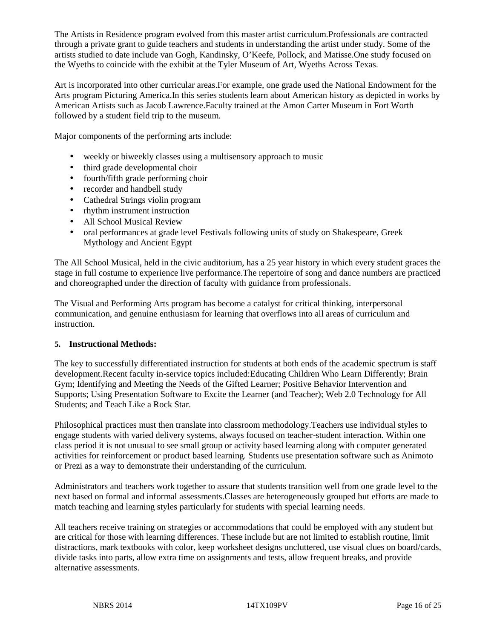The Artists in Residence program evolved from this master artist curriculum.Professionals are contracted through a private grant to guide teachers and students in understanding the artist under study. Some of the artists studied to date include van Gogh, Kandinsky, O'Keefe, Pollock, and Matisse.One study focused on the Wyeths to coincide with the exhibit at the Tyler Museum of Art, Wyeths Across Texas.

Art is incorporated into other curricular areas.For example, one grade used the National Endowment for the Arts program Picturing America.In this series students learn about American history as depicted in works by American Artists such as Jacob Lawrence.Faculty trained at the Amon Carter Museum in Fort Worth followed by a student field trip to the museum.

Major components of the performing arts include:

- weekly or biweekly classes using a multisensory approach to music
- third grade developmental choir
- fourth/fifth grade performing choir
- recorder and handbell study
- Cathedral Strings violin program
- rhythm instrument instruction
- All School Musical Review
- oral performances at grade level Festivals following units of study on Shakespeare, Greek Mythology and Ancient Egypt

The All School Musical, held in the civic auditorium, has a 25 year history in which every student graces the stage in full costume to experience live performance.The repertoire of song and dance numbers are practiced and choreographed under the direction of faculty with guidance from professionals.

The Visual and Performing Arts program has become a catalyst for critical thinking, interpersonal communication, and genuine enthusiasm for learning that overflows into all areas of curriculum and instruction.

## **5. Instructional Methods:**

The key to successfully differentiated instruction for students at both ends of the academic spectrum is staff development.Recent faculty in-service topics included:Educating Children Who Learn Differently; Brain Gym; Identifying and Meeting the Needs of the Gifted Learner; Positive Behavior Intervention and Supports; Using Presentation Software to Excite the Learner (and Teacher); Web 2.0 Technology for All Students; and Teach Like a Rock Star.

Philosophical practices must then translate into classroom methodology.Teachers use individual styles to engage students with varied delivery systems, always focused on teacher-student interaction. Within one class period it is not unusual to see small group or activity based learning along with computer generated activities for reinforcement or product based learning. Students use presentation software such as Animoto or Prezi as a way to demonstrate their understanding of the curriculum.

Administrators and teachers work together to assure that students transition well from one grade level to the next based on formal and informal assessments.Classes are heterogeneously grouped but efforts are made to match teaching and learning styles particularly for students with special learning needs.

All teachers receive training on strategies or accommodations that could be employed with any student but are critical for those with learning differences. These include but are not limited to establish routine, limit distractions, mark textbooks with color, keep worksheet designs uncluttered, use visual clues on board/cards, divide tasks into parts, allow extra time on assignments and tests, allow frequent breaks, and provide alternative assessments.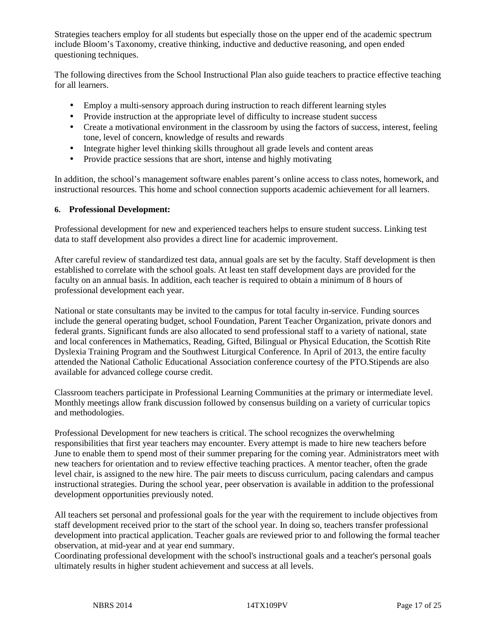Strategies teachers employ for all students but especially those on the upper end of the academic spectrum include Bloom's Taxonomy, creative thinking, inductive and deductive reasoning, and open ended questioning techniques.

The following directives from the School Instructional Plan also guide teachers to practice effective teaching for all learners.

- Employ a multi-sensory approach during instruction to reach different learning styles
- Provide instruction at the appropriate level of difficulty to increase student success
- Create a motivational environment in the classroom by using the factors of success, interest, feeling tone, level of concern, knowledge of results and rewards
- Integrate higher level thinking skills throughout all grade levels and content areas
- Provide practice sessions that are short, intense and highly motivating

In addition, the school's management software enables parent's online access to class notes, homework, and instructional resources. This home and school connection supports academic achievement for all learners.

## **6. Professional Development:**

Professional development for new and experienced teachers helps to ensure student success. Linking test data to staff development also provides a direct line for academic improvement.

After careful review of standardized test data, annual goals are set by the faculty. Staff development is then established to correlate with the school goals. At least ten staff development days are provided for the faculty on an annual basis. In addition, each teacher is required to obtain a minimum of 8 hours of professional development each year.

National or state consultants may be invited to the campus for total faculty in-service. Funding sources include the general operating budget, school Foundation, Parent Teacher Organization, private donors and federal grants. Significant funds are also allocated to send professional staff to a variety of national, state and local conferences in Mathematics, Reading, Gifted, Bilingual or Physical Education, the Scottish Rite Dyslexia Training Program and the Southwest Liturgical Conference. In April of 2013, the entire faculty attended the National Catholic Educational Association conference courtesy of the PTO.Stipends are also available for advanced college course credit.

Classroom teachers participate in Professional Learning Communities at the primary or intermediate level. Monthly meetings allow frank discussion followed by consensus building on a variety of curricular topics and methodologies.

Professional Development for new teachers is critical. The school recognizes the overwhelming responsibilities that first year teachers may encounter. Every attempt is made to hire new teachers before June to enable them to spend most of their summer preparing for the coming year. Administrators meet with new teachers for orientation and to review effective teaching practices. A mentor teacher, often the grade level chair, is assigned to the new hire. The pair meets to discuss curriculum, pacing calendars and campus instructional strategies. During the school year, peer observation is available in addition to the professional development opportunities previously noted.

All teachers set personal and professional goals for the year with the requirement to include objectives from staff development received prior to the start of the school year. In doing so, teachers transfer professional development into practical application. Teacher goals are reviewed prior to and following the formal teacher observation, at mid-year and at year end summary.

Coordinating professional development with the school's instructional goals and a teacher's personal goals ultimately results in higher student achievement and success at all levels.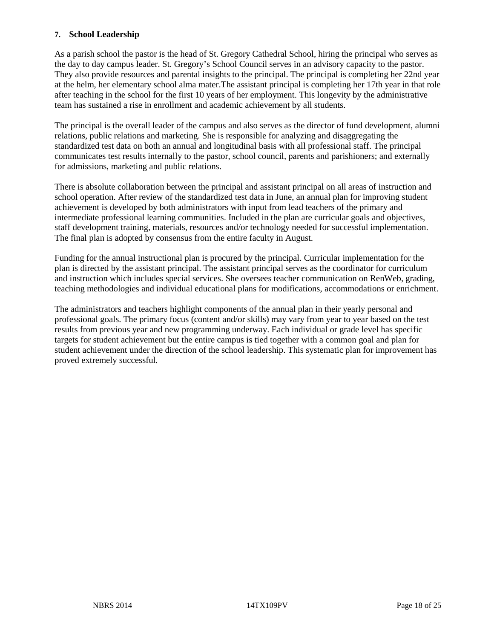# **7. School Leadership**

As a parish school the pastor is the head of St. Gregory Cathedral School, hiring the principal who serves as the day to day campus leader. St. Gregory's School Council serves in an advisory capacity to the pastor. They also provide resources and parental insights to the principal. The principal is completing her 22nd year at the helm, her elementary school alma mater.The assistant principal is completing her 17th year in that role after teaching in the school for the first 10 years of her employment. This longevity by the administrative team has sustained a rise in enrollment and academic achievement by all students.

The principal is the overall leader of the campus and also serves as the director of fund development, alumni relations, public relations and marketing. She is responsible for analyzing and disaggregating the standardized test data on both an annual and longitudinal basis with all professional staff. The principal communicates test results internally to the pastor, school council, parents and parishioners; and externally for admissions, marketing and public relations.

There is absolute collaboration between the principal and assistant principal on all areas of instruction and school operation. After review of the standardized test data in June, an annual plan for improving student achievement is developed by both administrators with input from lead teachers of the primary and intermediate professional learning communities. Included in the plan are curricular goals and objectives, staff development training, materials, resources and/or technology needed for successful implementation. The final plan is adopted by consensus from the entire faculty in August.

Funding for the annual instructional plan is procured by the principal. Curricular implementation for the plan is directed by the assistant principal. The assistant principal serves as the coordinator for curriculum and instruction which includes special services. She oversees teacher communication on RenWeb, grading, teaching methodologies and individual educational plans for modifications, accommodations or enrichment.

The administrators and teachers highlight components of the annual plan in their yearly personal and professional goals. The primary focus (content and/or skills) may vary from year to year based on the test results from previous year and new programming underway. Each individual or grade level has specific targets for student achievement but the entire campus is tied together with a common goal and plan for student achievement under the direction of the school leadership. This systematic plan for improvement has proved extremely successful.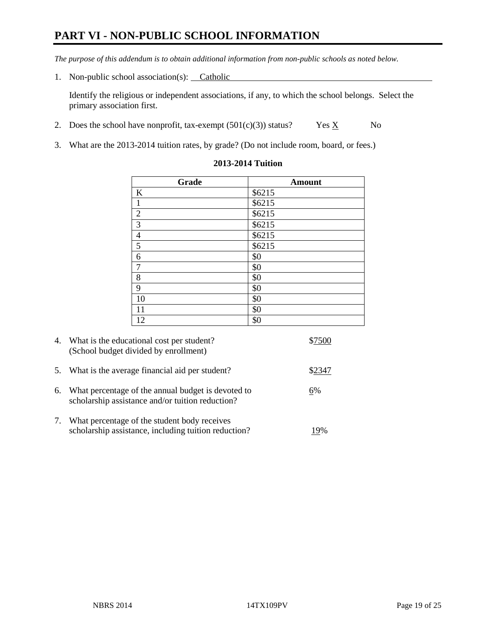# **PART VI - NON-PUBLIC SCHOOL INFORMATION**

*The purpose of this addendum is to obtain additional information from non-public schools as noted below.* 

1. Non-public school association(s): Catholic

Identify the religious or independent associations, if any, to which the school belongs. Select the primary association first.

- 2. Does the school have nonprofit, tax-exempt  $(501(c)(3))$  status? Yes  $\underline{X}$  No
- 3. What are the 2013-2014 tuition rates, by grade? (Do not include room, board, or fees.)

| <b>Amount</b> |
|---------------|
| \$6215        |
| \$6215        |
| \$6215        |
| \$6215        |
| \$6215        |
| \$6215        |
| \$0           |
| \$0           |
| \$0           |
| \$0           |
| \$0           |
| \$0           |
| \$0           |
|               |

#### **2013-2014 Tuition**

| 4. | What is the educational cost per student?<br>(School budget divided by enrollment)                     |      |
|----|--------------------------------------------------------------------------------------------------------|------|
| 5. | What is the average financial aid per student?                                                         | 2347 |
| 6. | What percentage of the annual budget is devoted to<br>scholarship assistance and/or tuition reduction? | 6%   |
| 7. | What percentage of the student body receives<br>scholarship assistance, including tuition reduction?   |      |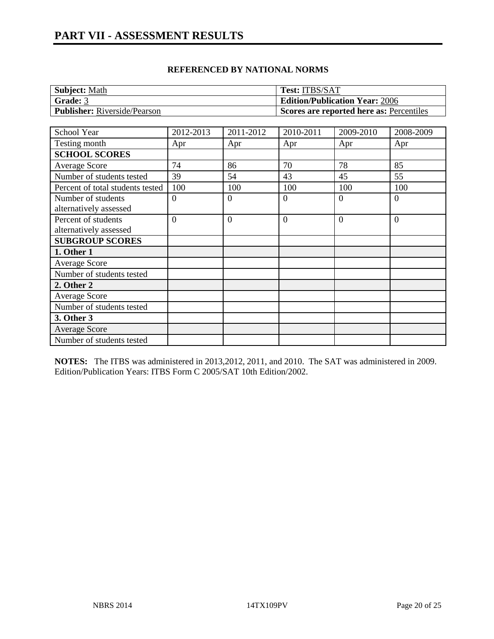| <b>Subject: Math</b>                | <b>Test: ITBS/SAT</b>                    |
|-------------------------------------|------------------------------------------|
| Grade: 3                            | <b>Edition/Publication Year: 2006</b>    |
| <b>Publisher:</b> Riverside/Pearson | Scores are reported here as: Percentiles |

| School Year                      | 2012-2013      | 2011-2012      | 2010-2011      | 2009-2010      | 2008-2009      |
|----------------------------------|----------------|----------------|----------------|----------------|----------------|
| Testing month                    | Apr            | Apr            | Apr            | Apr            | Apr            |
| <b>SCHOOL SCORES</b>             |                |                |                |                |                |
| <b>Average Score</b>             | 74             | 86             | 70             | 78             | 85             |
| Number of students tested        | 39             | 54             | 43             | 45             | 55             |
| Percent of total students tested | 100            | 100            | 100            | 100            | 100            |
| Number of students               | $\theta$       | $\Omega$       | $\mathbf{0}$   | $\theta$       | $\overline{0}$ |
| alternatively assessed           |                |                |                |                |                |
| Percent of students              | $\overline{0}$ | $\overline{0}$ | $\overline{0}$ | $\overline{0}$ | $\theta$       |
| alternatively assessed           |                |                |                |                |                |
| <b>SUBGROUP SCORES</b>           |                |                |                |                |                |
| 1. Other 1                       |                |                |                |                |                |
| Average Score                    |                |                |                |                |                |
| Number of students tested        |                |                |                |                |                |
| 2. Other 2                       |                |                |                |                |                |
| <b>Average Score</b>             |                |                |                |                |                |
| Number of students tested        |                |                |                |                |                |
| 3. Other 3                       |                |                |                |                |                |
| <b>Average Score</b>             |                |                |                |                |                |
| Number of students tested        |                |                |                |                |                |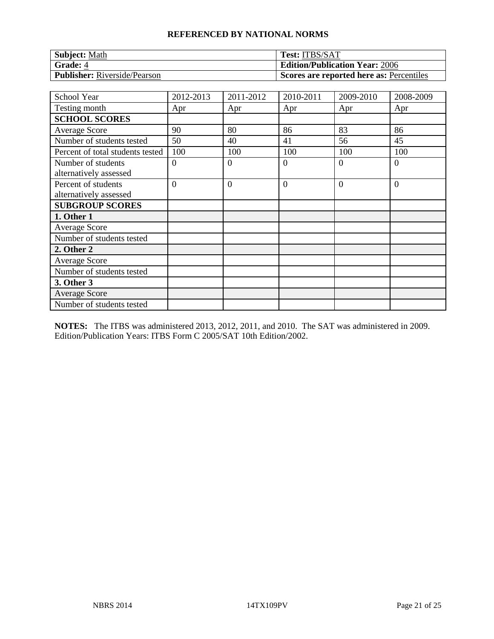| <b>Subject: Math</b>                | <b>Test: ITBS/SAT</b>                    |
|-------------------------------------|------------------------------------------|
| <b>Grade: 4</b>                     | <b>Edition/Publication Year: 2006</b>    |
| <b>Publisher:</b> Riverside/Pearson | Scores are reported here as: Percentiles |

| School Year                                   | 2012-2013      | 2011-2012      | 2010-2011      | 2009-2010 | 2008-2009      |
|-----------------------------------------------|----------------|----------------|----------------|-----------|----------------|
| Testing month                                 | Apr            | Apr            | Apr            | Apr       | Apr            |
| <b>SCHOOL SCORES</b>                          |                |                |                |           |                |
| <b>Average Score</b>                          | 90             | 80             | 86             | 83        | 86             |
| Number of students tested                     | 50             | 40             | 41             | 56        | 45             |
| Percent of total students tested              | 100            | 100            | 100            | 100       | 100            |
| Number of students<br>alternatively assessed  | $\Omega$       | $\Omega$       | $\overline{0}$ | 0         | $\Omega$       |
| Percent of students<br>alternatively assessed | $\overline{0}$ | $\overline{0}$ | $\overline{0}$ | $\Omega$  | $\overline{0}$ |
| <b>SUBGROUP SCORES</b>                        |                |                |                |           |                |
| 1. Other 1                                    |                |                |                |           |                |
| <b>Average Score</b>                          |                |                |                |           |                |
| Number of students tested                     |                |                |                |           |                |
| 2. Other 2                                    |                |                |                |           |                |
| <b>Average Score</b>                          |                |                |                |           |                |
| Number of students tested                     |                |                |                |           |                |
| 3. Other 3                                    |                |                |                |           |                |
| <b>Average Score</b>                          |                |                |                |           |                |
| Number of students tested                     |                |                |                |           |                |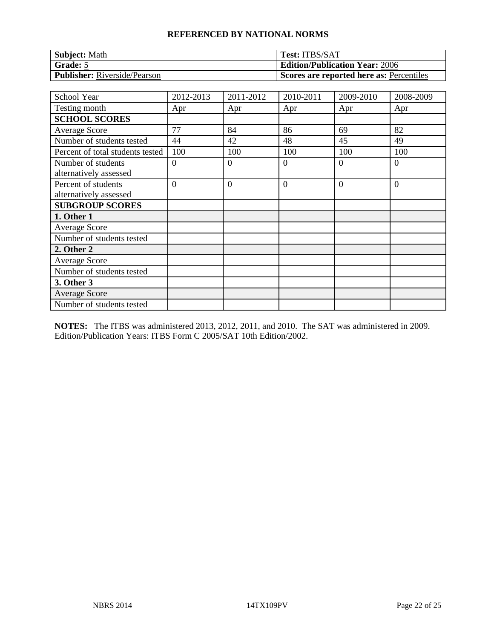| <b>Subject: Math</b>                | <b>Test: ITBS/SAT</b>                    |
|-------------------------------------|------------------------------------------|
| Grade: 5                            | <b>Edition/Publication Year: 2006</b>    |
| <b>Publisher:</b> Riverside/Pearson | Scores are reported here as: Percentiles |

| School Year                                   | 2012-2013      | 2011-2012      | 2010-2011      | 2009-2010 | 2008-2009      |
|-----------------------------------------------|----------------|----------------|----------------|-----------|----------------|
| Testing month                                 | Apr            | Apr            | Apr            | Apr       | Apr            |
| <b>SCHOOL SCORES</b>                          |                |                |                |           |                |
| <b>Average Score</b>                          | 77             | 84             | 86             | 69        | 82             |
| Number of students tested                     | 44             | 42             | 48             | 45        | 49             |
| Percent of total students tested              | 100            | 100            | 100            | 100       | 100            |
| Number of students<br>alternatively assessed  | $\Omega$       | $\Omega$       | $\overline{0}$ | 0         | $\Omega$       |
| Percent of students<br>alternatively assessed | $\overline{0}$ | $\overline{0}$ | $\overline{0}$ | $\Omega$  | $\overline{0}$ |
| <b>SUBGROUP SCORES</b>                        |                |                |                |           |                |
| 1. Other 1                                    |                |                |                |           |                |
| <b>Average Score</b>                          |                |                |                |           |                |
| Number of students tested                     |                |                |                |           |                |
| 2. Other 2                                    |                |                |                |           |                |
| <b>Average Score</b>                          |                |                |                |           |                |
| Number of students tested                     |                |                |                |           |                |
| 3. Other 3                                    |                |                |                |           |                |
| <b>Average Score</b>                          |                |                |                |           |                |
| Number of students tested                     |                |                |                |           |                |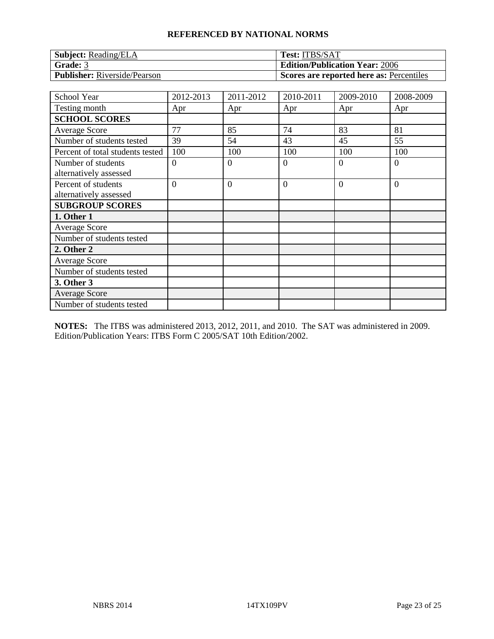| <b>Subject:</b> Reading/ELA         | <b>Test: ITBS/SAT</b>                    |
|-------------------------------------|------------------------------------------|
| Grade: $3$                          | <b>Edition/Publication Year: 2006</b>    |
| <b>Publisher:</b> Riverside/Pearson | Scores are reported here as: Percentiles |

| School Year                                   | 2012-2013      | 2011-2012      | 2010-2011      | 2009-2010 | 2008-2009      |
|-----------------------------------------------|----------------|----------------|----------------|-----------|----------------|
| Testing month                                 | Apr            | Apr            | Apr            | Apr       | Apr            |
| <b>SCHOOL SCORES</b>                          |                |                |                |           |                |
| <b>Average Score</b>                          | 77             | 85             | 74             | 83        | 81             |
| Number of students tested                     | 39             | 54             | 43             | 45        | 55             |
| Percent of total students tested              | 100            | 100            | 100            | 100       | 100            |
| Number of students<br>alternatively assessed  | $\Omega$       | $\Omega$       | $\overline{0}$ | 0         | $\Omega$       |
| Percent of students<br>alternatively assessed | $\overline{0}$ | $\overline{0}$ | $\overline{0}$ | $\Omega$  | $\overline{0}$ |
| <b>SUBGROUP SCORES</b>                        |                |                |                |           |                |
| 1. Other 1                                    |                |                |                |           |                |
| <b>Average Score</b>                          |                |                |                |           |                |
| Number of students tested                     |                |                |                |           |                |
| 2. Other 2                                    |                |                |                |           |                |
| <b>Average Score</b>                          |                |                |                |           |                |
| Number of students tested                     |                |                |                |           |                |
| 3. Other 3                                    |                |                |                |           |                |
| <b>Average Score</b>                          |                |                |                |           |                |
| Number of students tested                     |                |                |                |           |                |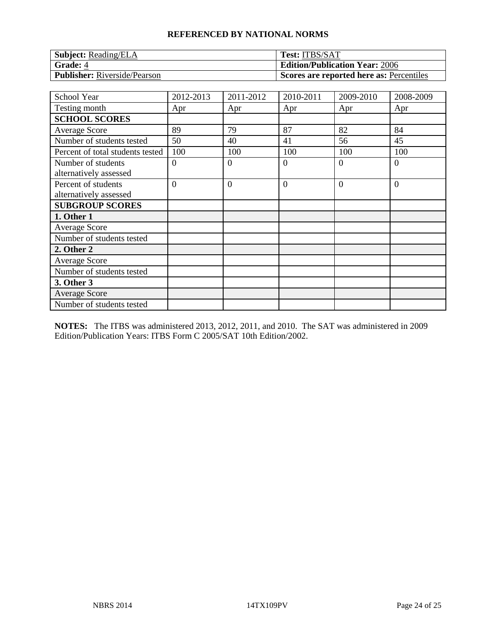| <b>Subject:</b> Reading/ELA         | <b>Test: ITBS/SAT</b>                    |
|-------------------------------------|------------------------------------------|
| <b>Grade: 4</b>                     | <b>Edition/Publication Year: 2006</b>    |
| <b>Publisher:</b> Riverside/Pearson | Scores are reported here as: Percentiles |

| School Year                                   | 2012-2013      | 2011-2012      | 2010-2011      | 2009-2010 | 2008-2009      |
|-----------------------------------------------|----------------|----------------|----------------|-----------|----------------|
| Testing month                                 | Apr            | Apr            | Apr            | Apr       | Apr            |
| <b>SCHOOL SCORES</b>                          |                |                |                |           |                |
| Average Score                                 | 89             | 79             | 87             | 82        | 84             |
| Number of students tested                     | 50             | 40             | 41             | 56        | 45             |
| Percent of total students tested              | 100            | 100            | 100            | 100       | 100            |
| Number of students<br>alternatively assessed  | $\overline{0}$ | $\Omega$       | $\theta$       | $\Omega$  | $\theta$       |
| Percent of students<br>alternatively assessed | $\overline{0}$ | $\overline{0}$ | $\overline{0}$ | $\theta$  | $\overline{0}$ |
| <b>SUBGROUP SCORES</b>                        |                |                |                |           |                |
| 1. Other 1                                    |                |                |                |           |                |
| <b>Average Score</b>                          |                |                |                |           |                |
| Number of students tested                     |                |                |                |           |                |
| 2. Other 2                                    |                |                |                |           |                |
| <b>Average Score</b>                          |                |                |                |           |                |
| Number of students tested                     |                |                |                |           |                |
| 3. Other 3                                    |                |                |                |           |                |
| <b>Average Score</b>                          |                |                |                |           |                |
| Number of students tested                     |                |                |                |           |                |